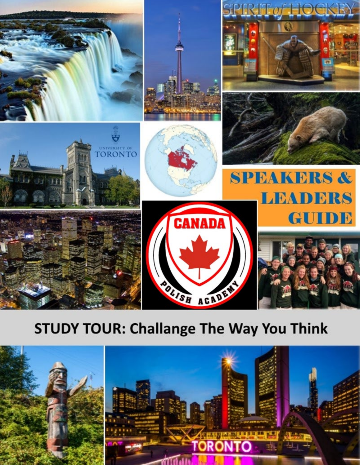

# **STUDY TOUR: Challange The Way You Think**

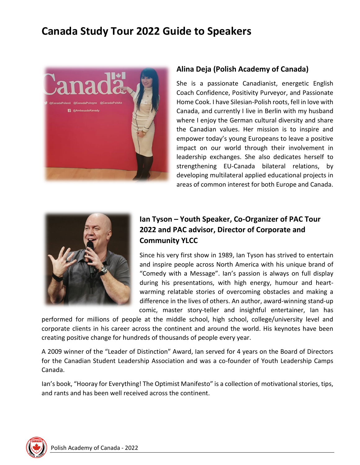# **Canada Study Tour 2022 Guide to Speakers**



# **Alina Deja (Polish Academy of Canada)**

She is a passionate Canadianist, energetic English Coach Confidence, Positivity Purveyor, and Passionate Home Cook. I have Silesian-Polish roots, fell in love with Canada, and currently I live in Berlin with my husband where I enjoy the German cultural diversity and share the Canadian values. Her mission is to inspire and empower today's young Europeans to leave a positive impact on our world through their involvement in leadership exchanges. She also dedicates herself to strengthening EU-Canada bilateral relations, by developing multilateral applied educational projects in areas of common interest for both Europe and Canada.



# **Ian Tyson – Youth Speaker, Co-Organizer of PAC Tour 2022 and PAC advisor, Director of Corporate and Community YLCC**

Since his very first show in 1989, Ian Tyson has strived to entertain and inspire people across North America with his unique brand of "Comedy with a Message". Ian's passion is always on full display during his presentations, with high energy, humour and heartwarming relatable stories of overcoming obstacles and making a difference in the lives of others. An author, award-winning stand-up comic, master story-teller and insightful entertainer, Ian has

performed for millions of people at the middle school, high school, college/university level and corporate clients in his career across the continent and around the world. His keynotes have been creating positive change for hundreds of thousands of people every year.

A 2009 winner of the "Leader of Distinction" Award, Ian served for 4 years on the Board of Directors for the Canadian Student Leadership Association and was a co-founder of Youth Leadership Camps Canada.

Ian's book, "Hooray for Everything! The Optimist Manifesto" is a collection of motivational stories, tips, and rants and has been well received across the continent.

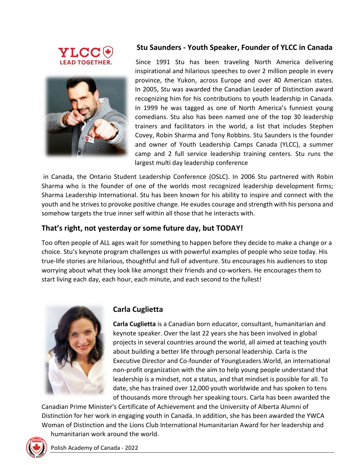



# **Stu Saunders - Youth Speaker, Founder of YLCC in Canada**

 Since 1991 Stu has been traveling North America delivering inspirational and hilarious speeches to over 2 million people in every province, the Yukon, across Europe and over 40 American states. In 2005, Stu was awarded the Canadian Leader of Distinction award recognizing him for his contributions to youth leadership in Canada. In 1999 he was tagged as one of North America's funniest young comedians. Stu also has been named one of the top 30 leadership trainers and facilitators in the world, a list that includes Stephen Covey, Robin Sharma and Tony Robbins. Stu Saunders is the founder and owner of Youth Leadership Camps Canada (YLCC), a summer camp and 2 full service leadership training centers. Stu runs the largest multi day leadership conference

in Canada, the Ontario Student Leadership Conference (OSLC). In 2006 Stu partnered with Robin Sharma who is the founder of one of the worlds most recognized leadership development firms; Sharma Leadership International. Stu has been known for his ability to inspire and connect with the youth and he strives to provoke positive change. He exudes courage and strength with his persona and somehow targets the true inner self within all those that he interacts with.

#### **That's right, not yesterday or some future day, but TODAY!**

Too often people of ALL ages wait for something to happen before they decide to make a change or a choice. Stu's keynote program challenges us with powerful examples of people who seize today. His true-life stories are hilarious, thoughtful and full of adventure. Stu encourages his audiences to stop worrying about what they look like amongst their friends and co-workers. He encourages them to start living each day, each hour, each minute, and each second to the fullest!



#### **Carla Cuglietta**

**Carla Cuglietta** is a Canadian born educator, consultant, humanitarian and keynote speaker. Over the last 22 years she has been involved in global projects in several countries around the world, all aimed at teaching youth about building a better life through personal leadership. Carla is the Executive Director and Co-founder of YoungLeaders.World, an international non-profit organization with the aim to help young people understand that leadership is a mindset, not a status, and that mindset is possible for all. To date, she has trained over 12,000 youth worldwide and has spoken to tens of thousands more through her speaking tours. Carla has been awarded the

Canadian Prime Minister's Certificate of Achievement and the University of Alberta Alumni of Distinction for her work in engaging youth in Canada. In addition, she has been awarded the YWCA Woman of Distinction and the Lions Club International Humanitarian Award for her leadership and humanitarian work around the world.

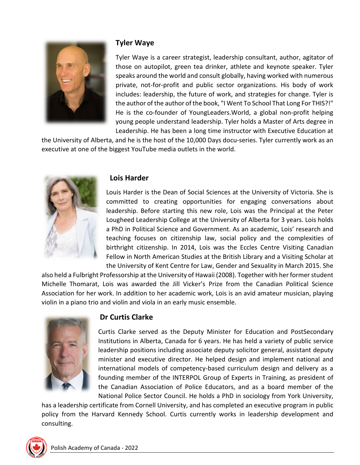

#### **Tyler Waye**

Tyler Waye is a career strategist, leadership consultant, author, agitator of those on autopilot, green tea drinker, athlete and keynote speaker. Tyler speaks around the world and consult globally, having worked with numerous private, not-for-profit and public sector organizations. His body of work includes: leadership, the future of work, and strategies for change. Tyler is the author of the author of the book, "I Went To School That Long For THIS?!" He is the co-founder of YoungLeaders.World, a global non-profit helping young people understand leadership. Tyler holds a Master of Arts degree in Leadership. He has been a long time instructor with Executive Education at

the University of Alberta, and he is the host of the 10,000 Days docu-series. Tyler currently work as an executive at one of the biggest YouTube media outlets in the world.



#### **Lois Harder**

Louis Harder is the Dean of Social Sciences at the University of Victoria. She is committed to creating opportunities for engaging conversations about leadership. Before starting this new role, Lois was the Principal at the Peter Lougheed Leadership College at the University of Alberta for 3 years. Lois holds a PhD in Political Science and Government. As an academic, Lois' research and teaching focuses on citizenship law, social policy and the complexities of birthright citizenship. In 2014, Lois was the Eccles Centre Visiting Canadian Fellow in North American Studies at the British Library and a Visiting Scholar at the University of Kent Centre for Law, Gender and Sexuality in March 2015. She

also held a Fulbright Professorship at the University of Hawaii (2008). Together with her former student Michelle Thomarat, Lois was awarded the Jill Vicker's Prize from the Canadian Political Science Association for her work. In addition to her academic work, Lois is an avid amateur musician, playing violin in a piano trio and violin and viola in an early music ensemble.



# **Dr Curtis Clarke**

Curtis Clarke served as the Deputy Minister for Education and PostSecondary Institutions in Alberta, Canada for 6 years. He has held a variety of public service leadership positions including associate deputy solicitor general, assistant deputy minister and executive director. He helped design and implement national and international models of competency-based curriculum design and delivery as a founding member of the INTERPOL Group of Experts in Training, as president of the Canadian Association of Police Educators, and as a board member of the National Police Sector Council. He holds a PhD in sociology from York University,

has a leadership certificate from Cornell University, and has completed an executive program in public policy from the Harvard Kennedy School. Curtis currently works in leadership development and consulting.